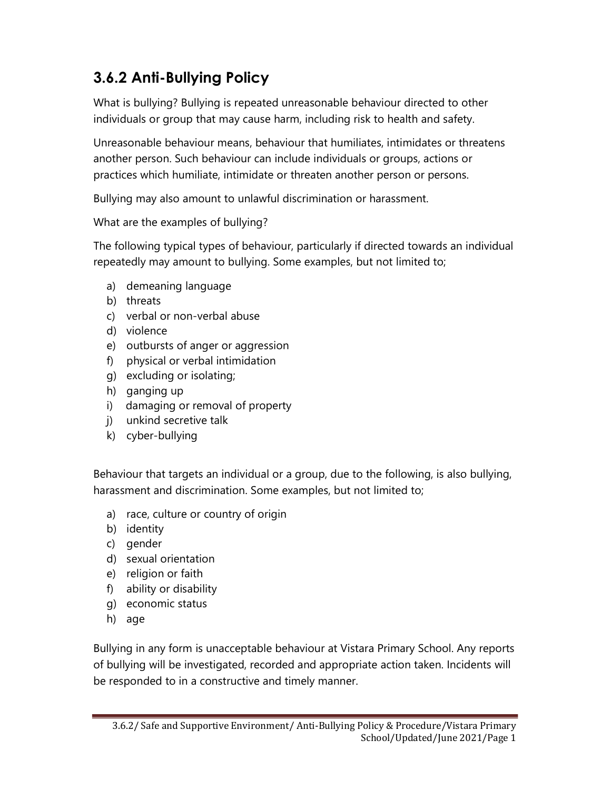## 3.6.2 Anti-Bullying Policy

What is bullying? Bullying is repeated unreasonable behaviour directed to other individuals or group that may cause harm, including risk to health and safety.

Unreasonable behaviour means, behaviour that humiliates, intimidates or threatens another person. Such behaviour can include individuals or groups, actions or practices which humiliate, intimidate or threaten another person or persons.

Bullying may also amount to unlawful discrimination or harassment.

What are the examples of bullying?

The following typical types of behaviour, particularly if directed towards an individual repeatedly may amount to bullying. Some examples, but not limited to;

- a) demeaning language
- b) threats
- c) verbal or non-verbal abuse
- d) violence
- e) outbursts of anger or aggression
- f) physical or verbal intimidation
- g) excluding or isolating;
- h) ganging up
- i) damaging or removal of property
- j) unkind secretive talk
- k) cyber-bullying

Behaviour that targets an individual or a group, due to the following, is also bullying, harassment and discrimination. Some examples, but not limited to;

- a) race, culture or country of origin
- b) identity
- c) gender
- d) sexual orientation
- e) religion or faith
- f) ability or disability
- g) economic status
- h) age

Bullying in any form is unacceptable behaviour at Vistara Primary School. Any reports of bullying will be investigated, recorded and appropriate action taken. Incidents will be responded to in a constructive and timely manner.